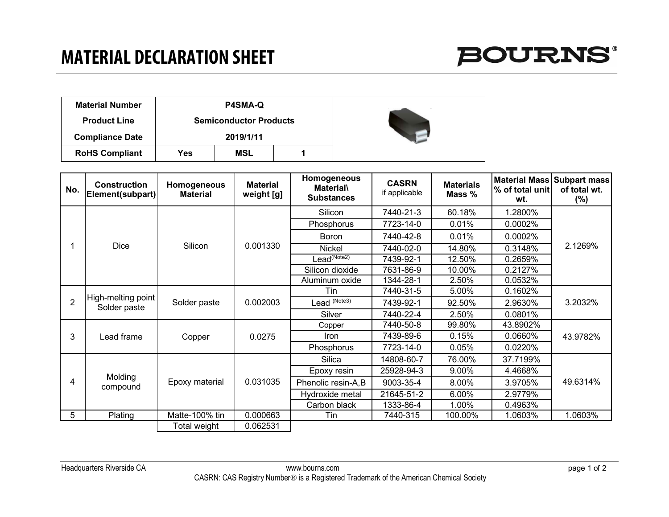## **MATERIAL DECLARATION SHEET**



| <b>Material Number</b> |     | <b>P4SMA-Q</b>                |  |  |
|------------------------|-----|-------------------------------|--|--|
| <b>Product Line</b>    |     | <b>Semiconductor Products</b> |  |  |
| <b>Compliance Date</b> |     | 2019/1/11                     |  |  |
| <b>RoHS Compliant</b>  | Yes | MSL                           |  |  |

| No.             | <b>Construction</b><br>Element(subpart) | Homogeneous<br><b>Material</b> | <b>Material</b><br>weight [g] | Homogeneous<br><b>Material\</b><br><b>Substances</b> | <b>CASRN</b><br>if applicable | <b>Materials</b><br>Mass % | % of total unit<br>wt. | Material Mass Subpart mass<br>of total wt.<br>$(\% )$ |
|-----------------|-----------------------------------------|--------------------------------|-------------------------------|------------------------------------------------------|-------------------------------|----------------------------|------------------------|-------------------------------------------------------|
|                 | Dice                                    | Silicon                        | 0.001330                      | Silicon                                              | 7440-21-3                     | 60.18%                     | 1.2800%                | 2.1269%                                               |
|                 |                                         |                                |                               | Phosphorus                                           | 7723-14-0                     | 0.01%                      | 0.0002%                |                                                       |
|                 |                                         |                                |                               | <b>Boron</b>                                         | 7440-42-8                     | 0.01%                      | 0.0002%                |                                                       |
|                 |                                         |                                |                               | <b>Nickel</b>                                        | 7440-02-0                     | 14.80%                     | 0.3148%                |                                                       |
|                 |                                         |                                |                               | Lead <sup>(Note2)</sup>                              | 7439-92-1                     | 12.50%                     | 0.2659%                |                                                       |
|                 |                                         |                                |                               | Silicon dioxide                                      | 7631-86-9                     | 10.00%                     | 0.2127%                |                                                       |
|                 |                                         |                                |                               | Aluminum oxide                                       | 1344-28-1                     | 2.50%                      | 0.0532%                |                                                       |
| $\overline{2}$  | High-melting point<br>Solder paste      | Solder paste                   | 0.002003                      | Tin                                                  | 7440-31-5                     | 5.00%                      | 0.1602%                | 3.2032%                                               |
|                 |                                         |                                |                               | Lead (Note3)                                         | 7439-92-1                     | 92.50%                     | 2.9630%                |                                                       |
|                 |                                         |                                |                               | Silver                                               | 7440-22-4                     | 2.50%                      | 0.0801%                |                                                       |
| 3               | Lead frame                              | Copper                         | 0.0275                        | Copper                                               | 7440-50-8                     | 99.80%                     | 43.8902%               | 43.9782%                                              |
|                 |                                         |                                |                               | Iron                                                 | 7439-89-6                     | 0.15%                      | 0.0660%                |                                                       |
|                 |                                         |                                |                               | Phosphorus                                           | 7723-14-0                     | 0.05%                      | 0.0220%                |                                                       |
| 4               | Molding<br>compound                     | Epoxy material                 | 0.031035                      | Silica                                               | 14808-60-7                    | 76.00%                     | 37.7199%               | 49.6314%                                              |
|                 |                                         |                                |                               | Epoxy resin                                          | 25928-94-3                    | 9.00%                      | 4.4668%                |                                                       |
|                 |                                         |                                |                               | Phenolic resin-A,B                                   | 9003-35-4                     | 8.00%                      | 3.9705%                |                                                       |
|                 |                                         |                                |                               | Hydroxide metal                                      | 21645-51-2                    | 6.00%                      | 2.9779%                |                                                       |
|                 |                                         |                                |                               | Carbon black                                         | 1333-86-4                     | 1.00%                      | 0.4963%                |                                                       |
| $5\overline{)}$ | Plating                                 | Matte-100% tin                 | 0.000663                      | Tin                                                  | 7440-315                      | 100.00%                    | 1.0603%                | 1.0603%                                               |
|                 |                                         | Total weight                   | 0.062531                      |                                                      |                               |                            |                        |                                                       |